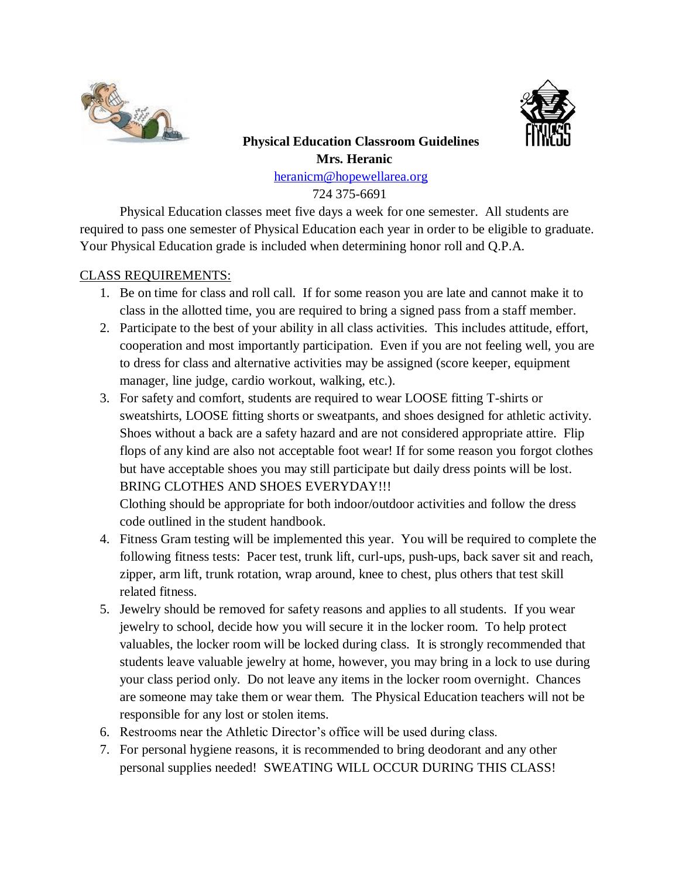



# **Physical Education Classroom Guidelines Mrs. Heranic**

[heranicm@hopewellarea.org](mailto:heranicm@hopewell.k12.pa.us)

724 375-6691

Physical Education classes meet five days a week for one semester. All students are required to pass one semester of Physical Education each year in order to be eligible to graduate. Your Physical Education grade is included when determining honor roll and Q.P.A.

## CLASS REQUIREMENTS:

- 1. Be on time for class and roll call. If for some reason you are late and cannot make it to class in the allotted time, you are required to bring a signed pass from a staff member.
- 2. Participate to the best of your ability in all class activities. This includes attitude, effort, cooperation and most importantly participation. Even if you are not feeling well, you are to dress for class and alternative activities may be assigned (score keeper, equipment manager, line judge, cardio workout, walking, etc.).
- 3. For safety and comfort, students are required to wear LOOSE fitting T-shirts or sweatshirts, LOOSE fitting shorts or sweatpants, and shoes designed for athletic activity. Shoes without a back are a safety hazard and are not considered appropriate attire. Flip flops of any kind are also not acceptable foot wear! If for some reason you forgot clothes but have acceptable shoes you may still participate but daily dress points will be lost. BRING CLOTHES AND SHOES EVERYDAY!!!

Clothing should be appropriate for both indoor/outdoor activities and follow the dress code outlined in the student handbook.

- 4. Fitness Gram testing will be implemented this year. You will be required to complete the following fitness tests: Pacer test, trunk lift, curl-ups, push-ups, back saver sit and reach, zipper, arm lift, trunk rotation, wrap around, knee to chest, plus others that test skill related fitness.
- 5. Jewelry should be removed for safety reasons and applies to all students. If you wear jewelry to school, decide how you will secure it in the locker room. To help protect valuables, the locker room will be locked during class. It is strongly recommended that students leave valuable jewelry at home, however, you may bring in a lock to use during your class period only. Do not leave any items in the locker room overnight. Chances are someone may take them or wear them. The Physical Education teachers will not be responsible for any lost or stolen items.
- 6. Restrooms near the Athletic Director's office will be used during class.
- 7. For personal hygiene reasons, it is recommended to bring deodorant and any other personal supplies needed! SWEATING WILL OCCUR DURING THIS CLASS!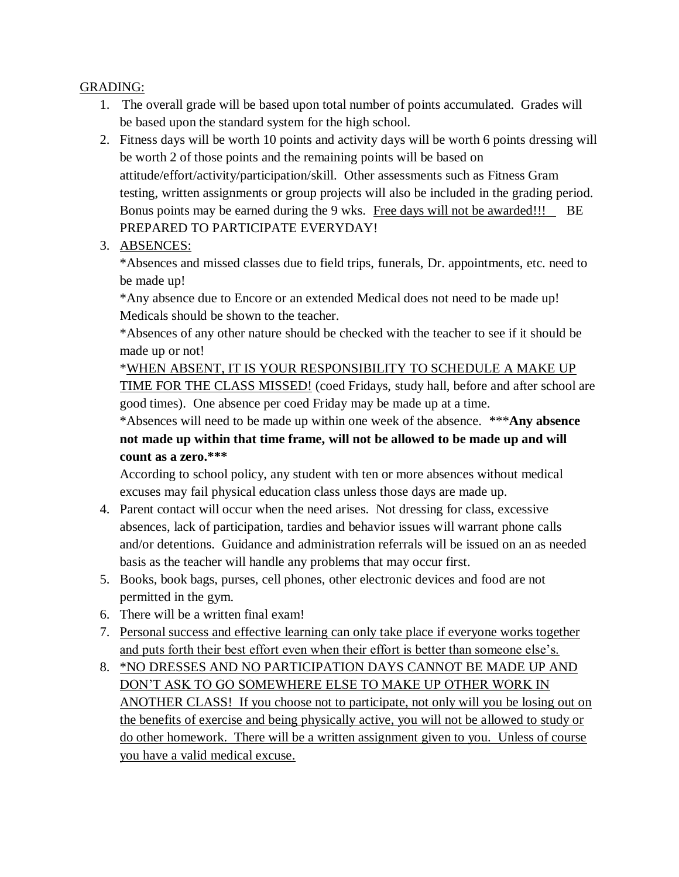### GRADING:

- 1. The overall grade will be based upon total number of points accumulated. Grades will be based upon the standard system for the high school.
- 2. Fitness days will be worth 10 points and activity days will be worth 6 points dressing will be worth 2 of those points and the remaining points will be based on attitude/effort/activity/participation/skill. Other assessments such as Fitness Gram testing, written assignments or group projects will also be included in the grading period. Bonus points may be earned during the 9 wks. Free days will not be awarded!!! BE PREPARED TO PARTICIPATE EVERYDAY!
- 3. ABSENCES:

\*Absences and missed classes due to field trips, funerals, Dr. appointments, etc. need to be made up!

\*Any absence due to Encore or an extended Medical does not need to be made up! Medicals should be shown to the teacher.

\*Absences of any other nature should be checked with the teacher to see if it should be made up or not!

\*WHEN ABSENT, IT IS YOUR RESPONSIBILITY TO SCHEDULE A MAKE UP TIME FOR THE CLASS MISSED! (coed Fridays, study hall, before and after school are good times). One absence per coed Friday may be made up at a time.

\*Absences will need to be made up within one week of the absence. \*\*\***Any absence not made up within that time frame, will not be allowed to be made up and will count as a zero.\*\*\***

According to school policy, any student with ten or more absences without medical excuses may fail physical education class unless those days are made up.

- 4. Parent contact will occur when the need arises. Not dressing for class, excessive absences, lack of participation, tardies and behavior issues will warrant phone calls and/or detentions. Guidance and administration referrals will be issued on an as needed basis as the teacher will handle any problems that may occur first.
- 5. Books, book bags, purses, cell phones, other electronic devices and food are not permitted in the gym.
- 6. There will be a written final exam!
- 7. Personal success and effective learning can only take place if everyone works together and puts forth their best effort even when their effort is better than someone else's.
- 8. \*NO DRESSES AND NO PARTICIPATION DAYS CANNOT BE MADE UP AND DON'T ASK TO GO SOMEWHERE ELSE TO MAKE UP OTHER WORK IN ANOTHER CLASS! If you choose not to participate, not only will you be losing out on the benefits of exercise and being physically active, you will not be allowed to study or do other homework. There will be a written assignment given to you. Unless of course you have a valid medical excuse.